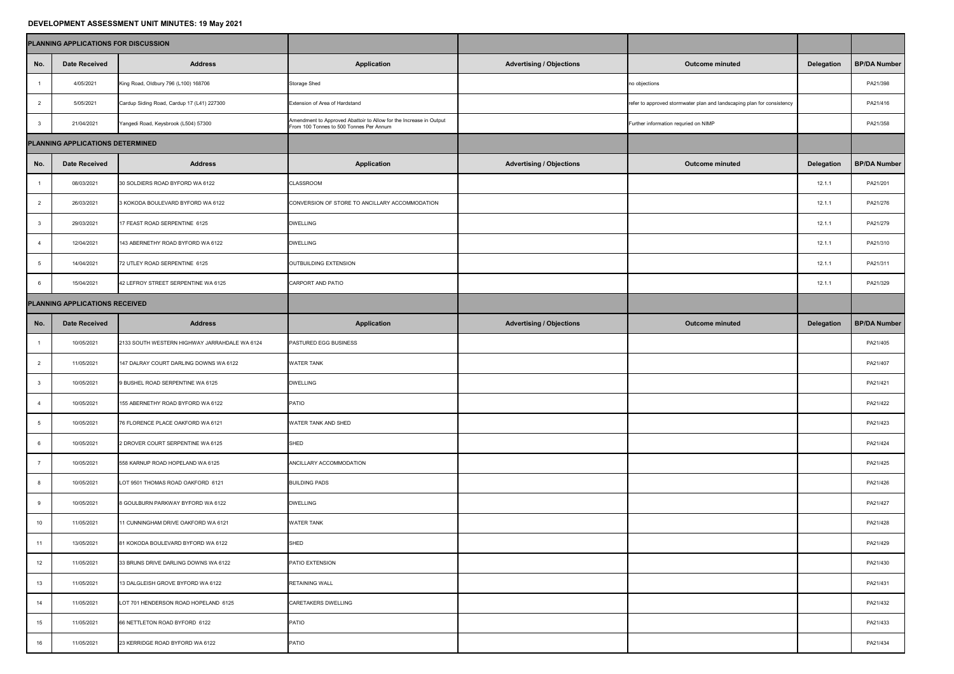## **DEVELOPMENT ASSESSMENT UNIT MINUTES: 19 May 2021**

|                                         | PLANNING APPLICATIONS FOR DISCUSSION |                                               |                                                                                                               |                                 |                                                                        |                   |                     |
|-----------------------------------------|--------------------------------------|-----------------------------------------------|---------------------------------------------------------------------------------------------------------------|---------------------------------|------------------------------------------------------------------------|-------------------|---------------------|
| No.                                     | <b>Date Received</b>                 | <b>Address</b>                                | <b>Application</b>                                                                                            | <b>Advertising / Objections</b> | <b>Outcome minuted</b>                                                 | <b>Delegation</b> | <b>BP/DA Number</b> |
|                                         | 4/05/2021                            | King Road, Oldbury 796 (L100) 168706          | <b>Storage Shed</b>                                                                                           |                                 | no objections                                                          |                   | PA21/398            |
| $\overline{2}$                          | 5/05/2021                            | Cardup Siding Road, Cardup 17 (L41) 227300    | <b>Extension of Area of Hardstand</b>                                                                         |                                 | refer to approved stormwater plan and landscaping plan for consistency |                   | PA21/416            |
| -3                                      | 21/04/2021                           | Yangedi Road, Keysbrook (L504) 57300          | Amendment to Approved Abattoir to Allow for the Increase in Output<br>From 100 Tonnes to 500 Tonnes Per Annum |                                 | Further information requried on NIMP                                   |                   | PA21/358            |
| <b>PLANNING APPLICATIONS DETERMINED</b> |                                      |                                               |                                                                                                               |                                 |                                                                        |                   |                     |
| No.                                     | <b>Date Received</b>                 | <b>Address</b>                                | <b>Application</b>                                                                                            | <b>Advertising / Objections</b> | <b>Outcome minuted</b>                                                 | <b>Delegation</b> | <b>BP/DA Number</b> |
|                                         | 08/03/2021                           | 30 SOLDIERS ROAD BYFORD WA 6122               | <b>CLASSROOM</b>                                                                                              |                                 |                                                                        | 12.1.1            | PA21/201            |
| $\overline{2}$                          | 26/03/2021                           | 3 KOKODA BOULEVARD BYFORD WA 6122             | CONVERSION OF STORE TO ANCILLARY ACCOMMODATION                                                                |                                 |                                                                        | 12.1.1            | PA21/276            |
| $\mathbf{3}$                            | 29/03/2021                           | 17 FEAST ROAD SERPENTINE 6125                 | <b>DWELLING</b>                                                                                               |                                 |                                                                        | 12.1.1            | PA21/279            |
|                                         | 12/04/2021                           | 143 ABERNETHY ROAD BYFORD WA 6122             | <b>DWELLING</b>                                                                                               |                                 |                                                                        | 12.1.1            | PA21/310            |
| $5\overline{)}$                         | 14/04/2021                           | 72 UTLEY ROAD SERPENTINE 6125                 | OUTBUILDING EXTENSION                                                                                         |                                 |                                                                        | 12.1.1            | PA21/311            |
| 6                                       | 15/04/2021                           | 42 LEFROY STREET SERPENTINE WA 6125           | CARPORT AND PATIO                                                                                             |                                 |                                                                        | 12.1.1            | PA21/329            |
| <b>PLANNING APPLICATIONS RECEIVED</b>   |                                      |                                               |                                                                                                               |                                 |                                                                        |                   |                     |
| No.                                     | Date Received                        | <b>Address</b>                                | <b>Application</b>                                                                                            | <b>Advertising / Objections</b> | <b>Outcome minuted</b>                                                 | <b>Delegation</b> | <b>BP/DA Number</b> |
|                                         | 10/05/2021                           | 2133 SOUTH WESTERN HIGHWAY JARRAHDALE WA 6124 | <b>PASTURED EGG BUSINESS</b>                                                                                  |                                 |                                                                        |                   | PA21/405            |
| 2                                       | 11/05/2021                           | 147 DALRAY COURT DARLING DOWNS WA 6122        | <b>WATER TANK</b>                                                                                             |                                 |                                                                        |                   | PA21/407            |
|                                         | 10/05/2021                           | 9 BUSHEL ROAD SERPENTINE WA 6125              | <b>DWELLING</b>                                                                                               |                                 |                                                                        |                   | PA21/421            |
|                                         | 10/05/2021                           | 155 ABERNETHY ROAD BYFORD WA 6122             | PATIO                                                                                                         |                                 |                                                                        |                   | PA21/422            |
|                                         | 10/05/2021                           | 76 FLORENCE PLACE OAKFORD WA 6121             | <b>WATER TANK AND SHED</b>                                                                                    |                                 |                                                                        |                   | PA21/423            |
|                                         | 10/05/2021                           | 2 DROVER COURT SERPENTINE WA 6125             | <b>SHED</b>                                                                                                   |                                 |                                                                        |                   | PA21/424            |
|                                         | 10/05/2021                           | 558 KARNUP ROAD HOPELAND WA 6125              | ANCILLARY ACCOMMODATION                                                                                       |                                 |                                                                        |                   | PA21/425            |
|                                         | 10/05/2021                           | LOT 9501 THOMAS ROAD OAKFORD 6121             | <b>BUILDING PADS</b>                                                                                          |                                 |                                                                        |                   | PA21/426            |
|                                         | 10/05/2021                           | 8 GOULBURN PARKWAY BYFORD WA 6122             | <b>DWELLING</b>                                                                                               |                                 |                                                                        |                   | PA21/427            |
| 10 <sup>1</sup>                         | 11/05/2021                           | 11 CUNNINGHAM DRIVE OAKFORD WA 6121           | <b>WATER TANK</b>                                                                                             |                                 |                                                                        |                   | PA21/428            |
| 11                                      | 13/05/2021                           | 81 KOKODA BOULEVARD BYFORD WA 6122            | SHED                                                                                                          |                                 |                                                                        |                   | PA21/429            |
| 12                                      | 11/05/2021                           | 33 BRUNS DRIVE DARLING DOWNS WA 6122          | PATIO EXTENSION                                                                                               |                                 |                                                                        |                   | PA21/430            |
| 13                                      | 11/05/2021                           | 13 DALGLEISH GROVE BYFORD WA 6122             | <b>RETAINING WALL</b>                                                                                         |                                 |                                                                        |                   | PA21/431            |
| 14                                      | 11/05/2021                           | LOT 701 HENDERSON ROAD HOPELAND 6125          | <b>CARETAKERS DWELLING</b>                                                                                    |                                 |                                                                        |                   | PA21/432            |
| 15                                      | 11/05/2021                           | 66 NETTLETON ROAD BYFORD 6122                 | <b>PATIO</b>                                                                                                  |                                 |                                                                        |                   | PA21/433            |
| 16                                      | 11/05/2021                           | 23 KERRIDGE ROAD BYFORD WA 6122               | <b>PATIO</b>                                                                                                  |                                 |                                                                        |                   | PA21/434            |

| PLANNING APPLICATIONS FOR DISCUSSION |                                  |                                               |                                                                                                               |                                 |                                                                        |                   |                     |
|--------------------------------------|----------------------------------|-----------------------------------------------|---------------------------------------------------------------------------------------------------------------|---------------------------------|------------------------------------------------------------------------|-------------------|---------------------|
| No.                                  | <b>Date Received</b>             | <b>Address</b>                                | <b>Application</b>                                                                                            | <b>Advertising / Objections</b> | <b>Outcome minuted</b>                                                 | <b>Delegation</b> | <b>BP/DA Number</b> |
|                                      | 4/05/2021                        | King Road, Oldbury 796 (L100) 168706          | <b>Storage Shed</b>                                                                                           |                                 | no objections                                                          |                   | PA21/398            |
|                                      | 5/05/2021                        | Cardup Siding Road, Cardup 17 (L41) 227300    | <b>Extension of Area of Hardstand</b>                                                                         |                                 | refer to approved stormwater plan and landscaping plan for consistency |                   | PA21/416            |
|                                      | 21/04/2021                       | Yangedi Road, Keysbrook (L504) 57300          | Amendment to Approved Abattoir to Allow for the Increase in Output<br>From 100 Tonnes to 500 Tonnes Per Annum |                                 | Further information requried on NIMP                                   |                   | PA21/358            |
|                                      | PLANNING APPLICATIONS DETERMINED |                                               |                                                                                                               |                                 |                                                                        |                   |                     |
| No.                                  | <b>Date Received</b>             | <b>Address</b>                                | <b>Application</b>                                                                                            | <b>Advertising / Objections</b> | <b>Outcome minuted</b>                                                 | <b>Delegation</b> | <b>BP/DA Number</b> |
|                                      | 08/03/2021                       | 30 SOLDIERS ROAD BYFORD WA 6122               | <b>CLASSROOM</b>                                                                                              |                                 |                                                                        | 12.1.1            | PA21/201            |
|                                      | 26/03/2021                       | 3 KOKODA BOULEVARD BYFORD WA 6122             | CONVERSION OF STORE TO ANCILLARY ACCOMMODATION                                                                |                                 |                                                                        | 12.1.1            | PA21/276            |
|                                      | 29/03/2021                       | 17 FEAST ROAD SERPENTINE 6125                 | <b>DWELLING</b>                                                                                               |                                 |                                                                        | 12.1.1            | PA21/279            |
|                                      | 12/04/2021                       | 143 ABERNETHY ROAD BYFORD WA 6122             | <b>DWELLING</b>                                                                                               |                                 |                                                                        | 12.1.1            | PA21/310            |
|                                      | 14/04/2021                       | 72 UTLEY ROAD SERPENTINE 6125                 | OUTBUILDING EXTENSION                                                                                         |                                 |                                                                        | 12.1.1            | PA21/311            |
|                                      | 15/04/2021                       | 42 LEFROY STREET SERPENTINE WA 6125           | CARPORT AND PATIO                                                                                             |                                 |                                                                        | 12.1.1            | PA21/329            |
| PLANNING APPLICATIONS RECEIVED       |                                  |                                               |                                                                                                               |                                 |                                                                        |                   |                     |
| No.                                  | <b>Date Received</b>             | <b>Address</b>                                | <b>Application</b>                                                                                            | <b>Advertising / Objections</b> | <b>Outcome minuted</b>                                                 | <b>Delegation</b> | <b>BP/DA Number</b> |
|                                      | 10/05/2021                       | 2133 SOUTH WESTERN HIGHWAY JARRAHDALE WA 6124 | <b>PASTURED EGG BUSINESS</b>                                                                                  |                                 |                                                                        |                   | PA21/405            |
|                                      | 11/05/2021                       | 147 DALRAY COURT DARLING DOWNS WA 6122        | <b>WATER TANK</b>                                                                                             |                                 |                                                                        |                   | PA21/407            |
| $\mathbf{3}$                         | 10/05/2021                       | 9 BUSHEL ROAD SERPENTINE WA 6125              | <b>DWELLING</b>                                                                                               |                                 |                                                                        |                   | PA21/421            |
|                                      | 10/05/2021                       | 155 ABERNETHY ROAD BYFORD WA 6122             | PATIO                                                                                                         |                                 |                                                                        |                   | PA21/422            |
|                                      | 10/05/2021                       | 76 FLORENCE PLACE OAKFORD WA 6121             | <b>WATER TANK AND SHED</b>                                                                                    |                                 |                                                                        |                   | PA21/423            |
|                                      | 10/05/2021                       | 2 DROVER COURT SERPENTINE WA 6125             | SHED                                                                                                          |                                 |                                                                        |                   | PA21/424            |
|                                      | 10/05/2021                       | 558 KARNUP ROAD HOPELAND WA 6125              | <b>ANCILLARY ACCOMMODATION</b>                                                                                |                                 |                                                                        |                   | PA21/425            |
|                                      | 10/05/2021                       | LOT 9501 THOMAS ROAD OAKFORD 6121             | <b>BUILDING PADS</b>                                                                                          |                                 |                                                                        |                   | PA21/426            |
| 9                                    | 10/05/2021                       | 8 GOULBURN PARKWAY BYFORD WA 6122             | <b>DWELLING</b>                                                                                               |                                 |                                                                        |                   | PA21/427            |
| 10                                   | 11/05/2021                       | 11 CUNNINGHAM DRIVE OAKFORD WA 6121           | <b>WATER TANK</b>                                                                                             |                                 |                                                                        |                   | PA21/428            |
| 11                                   | 13/05/2021                       | 81 KOKODA BOULEVARD BYFORD WA 6122            | SHED                                                                                                          |                                 |                                                                        |                   | PA21/429            |
| 12                                   | 11/05/2021                       | 33 BRUNS DRIVE DARLING DOWNS WA 6122          | <b>PATIO EXTENSION</b>                                                                                        |                                 |                                                                        |                   | PA21/430            |
| 13                                   | 11/05/2021                       | 13 DALGLEISH GROVE BYFORD WA 6122             | <b>RETAINING WALL</b>                                                                                         |                                 |                                                                        |                   | PA21/431            |
| 14                                   | 11/05/2021                       | LOT 701 HENDERSON ROAD HOPELAND 6125          | CARETAKERS DWELLING                                                                                           |                                 |                                                                        |                   | PA21/432            |
| 15                                   | 11/05/2021                       | 66 NETTLETON ROAD BYFORD 6122                 | <b>PATIO</b>                                                                                                  |                                 |                                                                        |                   | PA21/433            |
| 16                                   | 11/05/2021                       | 23 KERRIDGE ROAD BYFORD WA 6122               | <b>PATIO</b>                                                                                                  |                                 |                                                                        |                   | PA21/434            |